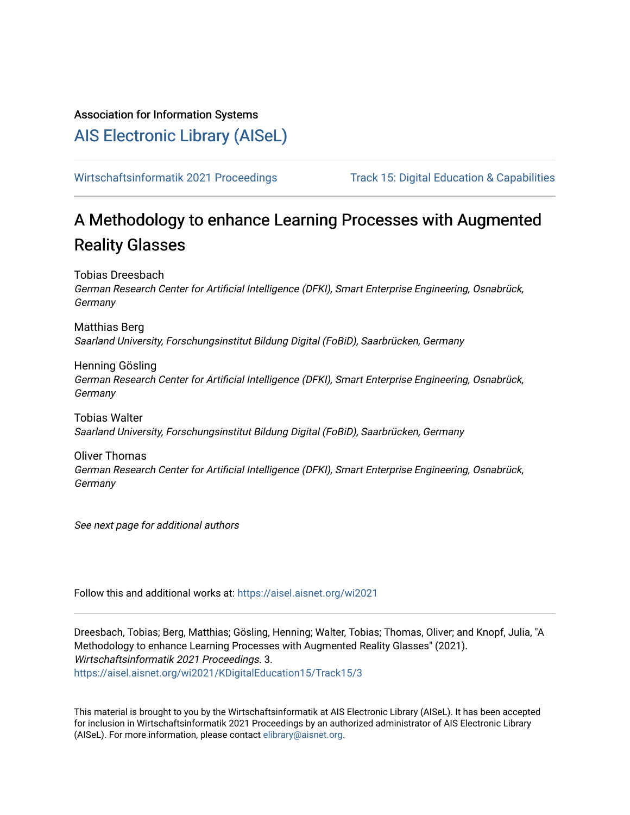Association for Information Systems

## [AIS Electronic Library \(AISeL\)](https://aisel.aisnet.org/)

[Wirtschaftsinformatik 2021 Proceedings](https://aisel.aisnet.org/wi2021) Track 15: Digital Education & Capabilities

# A Methodology to enhance Learning Processes with Augmented Reality Glasses

Tobias Dreesbach German Research Center for Artificial Intelligence (DFKI), Smart Enterprise Engineering, Osnabrück, Germany

Matthias Berg Saarland University, Forschungsinstitut Bildung Digital (FoBiD), Saarbrücken, Germany

Henning Gösling German Research Center for Artificial Intelligence (DFKI), Smart Enterprise Engineering, Osnabrück, Germany

Tobias Walter Saarland University, Forschungsinstitut Bildung Digital (FoBiD), Saarbrücken, Germany

Oliver Thomas German Research Center for Artificial Intelligence (DFKI), Smart Enterprise Engineering, Osnabrück, Germany

See next page for additional authors

Follow this and additional works at: [https://aisel.aisnet.org/wi2021](https://aisel.aisnet.org/wi2021?utm_source=aisel.aisnet.org%2Fwi2021%2FKDigitalEducation15%2FTrack15%2F3&utm_medium=PDF&utm_campaign=PDFCoverPages) 

Dreesbach, Tobias; Berg, Matthias; Gösling, Henning; Walter, Tobias; Thomas, Oliver; and Knopf, Julia, "A Methodology to enhance Learning Processes with Augmented Reality Glasses" (2021). Wirtschaftsinformatik 2021 Proceedings. 3. [https://aisel.aisnet.org/wi2021/KDigitalEducation15/Track15/3](https://aisel.aisnet.org/wi2021/KDigitalEducation15/Track15/3?utm_source=aisel.aisnet.org%2Fwi2021%2FKDigitalEducation15%2FTrack15%2F3&utm_medium=PDF&utm_campaign=PDFCoverPages)

This material is brought to you by the Wirtschaftsinformatik at AIS Electronic Library (AISeL). It has been accepted for inclusion in Wirtschaftsinformatik 2021 Proceedings by an authorized administrator of AIS Electronic Library (AISeL). For more information, please contact [elibrary@aisnet.org](mailto:elibrary@aisnet.org%3E).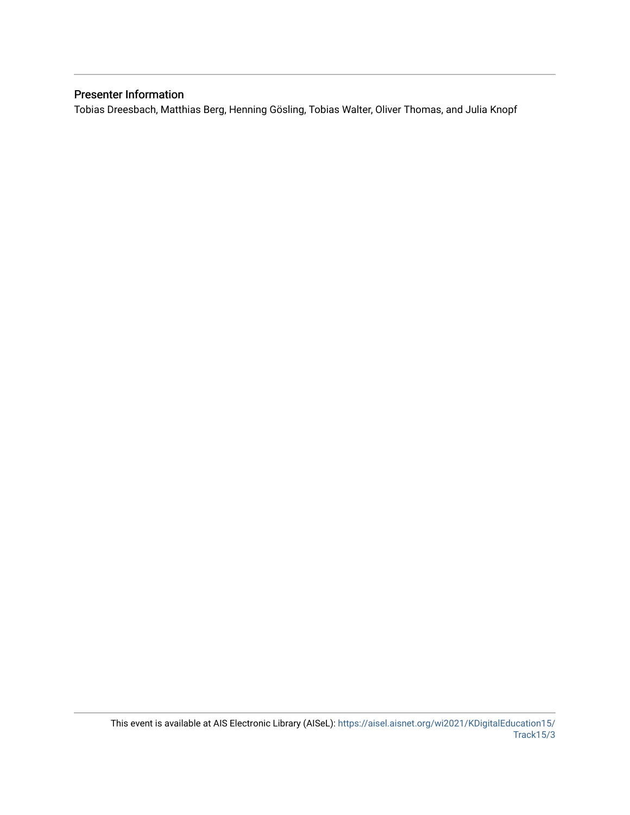### Presenter Information

Tobias Dreesbach, Matthias Berg, Henning Gösling, Tobias Walter, Oliver Thomas, and Julia Knopf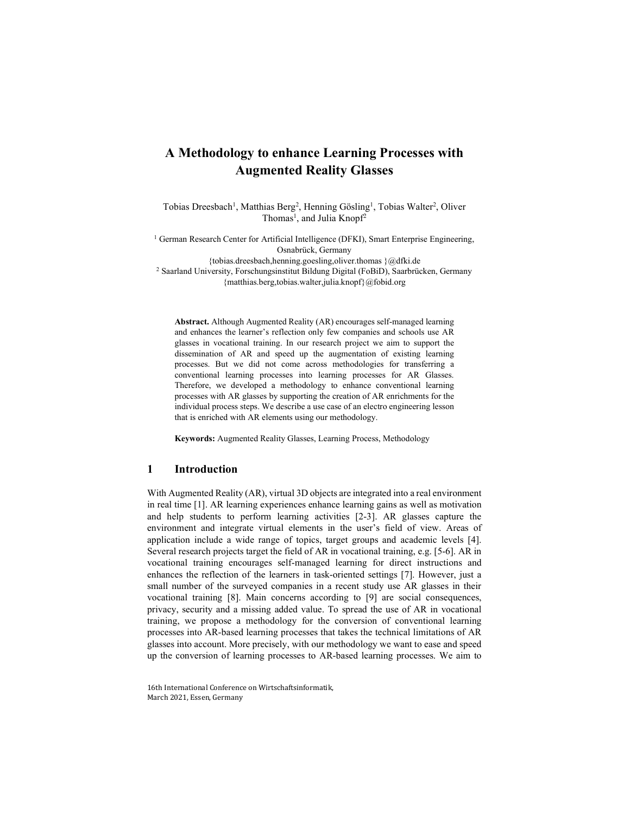## A Methodology to enhance Learning Processes with Augmented Reality Glasses

Tobias Dreesbach<sup>1</sup>, Matthias Berg<sup>2</sup>, Henning Gösling<sup>1</sup>, Tobias Walter<sup>2</sup>, Oliver Thomas<sup>1</sup>, and Julia Knopf<sup>2</sup>

<sup>1</sup> German Research Center for Artificial Intelligence (DFKI), Smart Enterprise Engineering, Osnabrück, Germany {tobias.dreesbach,henning.goesling,oliver.thomas }@dfki.de

2 Saarland University, Forschungsinstitut Bildung Digital (FoBiD), Saarbrücken, Germany {matthias.berg,tobias.walter,julia.knopf}@fobid.org

Abstract. Although Augmented Reality (AR) encourages self-managed learning and enhances the learner's reflection only few companies and schools use AR glasses in vocational training. In our research project we aim to support the dissemination of AR and speed up the augmentation of existing learning processes. But we did not come across methodologies for transferring a conventional learning processes into learning processes for AR Glasses. Therefore, we developed a methodology to enhance conventional learning processes with AR glasses by supporting the creation of AR enrichments for the individual process steps. We describe a use case of an electro engineering lesson that is enriched with AR elements using our methodology.

Keywords: Augmented Reality Glasses, Learning Process, Methodology

#### 1 Introduction

With Augmented Reality (AR), virtual 3D objects are integrated into a real environment in real time [1]. AR learning experiences enhance learning gains as well as motivation and help students to perform learning activities [2-3]. AR glasses capture the environment and integrate virtual elements in the user's field of view. Areas of application include a wide range of topics, target groups and academic levels [4]. Several research projects target the field of AR in vocational training, e.g. [5-6]. AR in vocational training encourages self-managed learning for direct instructions and enhances the reflection of the learners in task-oriented settings [7]. However, just a small number of the surveyed companies in a recent study use AR glasses in their vocational training [8]. Main concerns according to [9] are social consequences, privacy, security and a missing added value. To spread the use of AR in vocational training, we propose a methodology for the conversion of conventional learning processes into AR-based learning processes that takes the technical limitations of AR glasses into account. More precisely, with our methodology we want to ease and speed up the conversion of learning processes to AR-based learning processes. We aim to

16th International Conference on Wirtschaftsinformatik, March 2021, Essen, Germany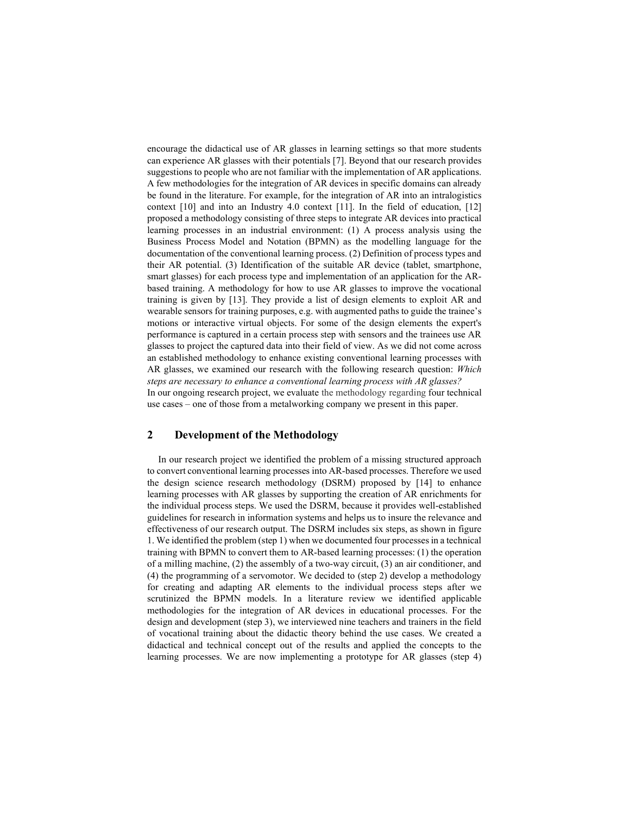encourage the didactical use of AR glasses in learning settings so that more students can experience AR glasses with their potentials [7]. Beyond that our research provides suggestions to people who are not familiar with the implementation of AR applications. A few methodologies for the integration of AR devices in specific domains can already be found in the literature. For example, for the integration of AR into an intralogistics context [10] and into an Industry 4.0 context [11]. In the field of education, [12] proposed a methodology consisting of three steps to integrate AR devices into practical learning processes in an industrial environment: (1) A process analysis using the Business Process Model and Notation (BPMN) as the modelling language for the documentation of the conventional learning process. (2) Definition of process types and their AR potential. (3) Identification of the suitable AR device (tablet, smartphone, smart glasses) for each process type and implementation of an application for the ARbased training. A methodology for how to use AR glasses to improve the vocational training is given by [13]. They provide a list of design elements to exploit AR and wearable sensors for training purposes, e.g. with augmented paths to guide the trainee's motions or interactive virtual objects. For some of the design elements the expert's performance is captured in a certain process step with sensors and the trainees use AR glasses to project the captured data into their field of view. As we did not come across an established methodology to enhance existing conventional learning processes with AR glasses, we examined our research with the following research question: Which steps are necessary to enhance a conventional learning process with AR glasses? In our ongoing research project, we evaluate the methodology regarding four technical use cases – one of those from a metalworking company we present in this paper.

#### 2 Development of the Methodology

In our research project we identified the problem of a missing structured approach to convert conventional learning processes into AR-based processes. Therefore we used the design science research methodology (DSRM) proposed by [14] to enhance learning processes with AR glasses by supporting the creation of AR enrichments for the individual process steps. We used the DSRM, because it provides well-established guidelines for research in information systems and helps us to insure the relevance and effectiveness of our research output. The DSRM includes six steps, as shown in figure 1. We identified the problem (step 1) when we documented four processes in a technical training with BPMN to convert them to AR-based learning processes: (1) the operation of a milling machine, (2) the assembly of a two-way circuit, (3) an air conditioner, and (4) the programming of a servomotor. We decided to (step 2) develop a methodology for creating and adapting AR elements to the individual process steps after we scrutinized the BPMN models. In a literature review we identified applicable methodologies for the integration of AR devices in educational processes. For the design and development (step 3), we interviewed nine teachers and trainers in the field of vocational training about the didactic theory behind the use cases. We created a didactical and technical concept out of the results and applied the concepts to the learning processes. We are now implementing a prototype for AR glasses (step 4)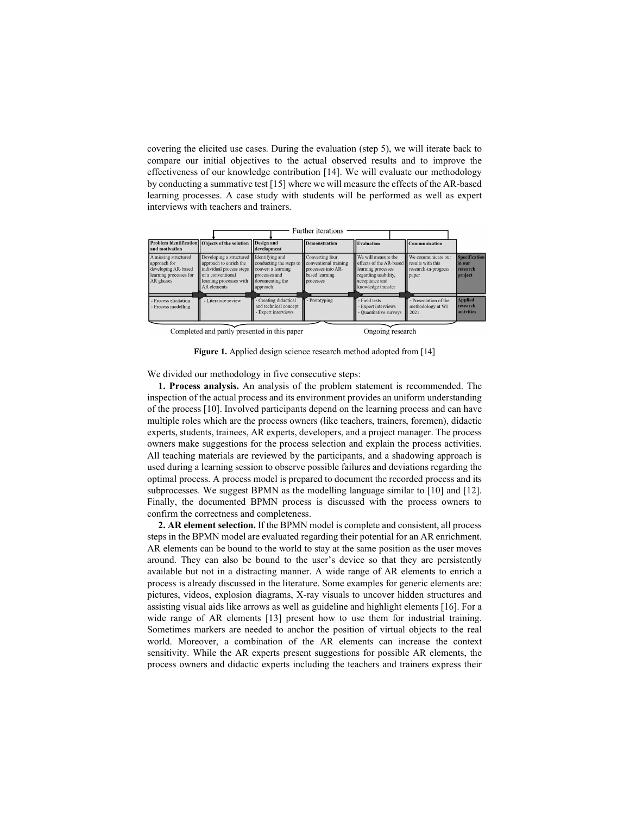covering the elicited use cases. During the evaluation (step 5), we will iterate back to compare our initial objectives to the actual observed results and to improve the effectiveness of our knowledge contribution [14]. We will evaluate our methodology by conducting a summative test [15] where we will measure the effects of the AR-based learning processes. A case study with students will be performed as well as expert interviews with teachers and trainers.

| Further iterations                                                                                  |                                                                                                                                              |                                                                                                                  |                                                                                               |                                                                                                                                                        |                                                     |                                                       |
|-----------------------------------------------------------------------------------------------------|----------------------------------------------------------------------------------------------------------------------------------------------|------------------------------------------------------------------------------------------------------------------|-----------------------------------------------------------------------------------------------|--------------------------------------------------------------------------------------------------------------------------------------------------------|-----------------------------------------------------|-------------------------------------------------------|
| and motivation                                                                                      | Problem identification   Objects of the solution   Design and                                                                                | development                                                                                                      | <b>Demonstration</b>                                                                          | Evaluation                                                                                                                                             | Communication                                       |                                                       |
| A missing structured<br>approach for<br>developing AR-based<br>learning processes for<br>AR glasses | Developing a structured<br>approach to enrich the<br>individual process steps<br>of a conventional<br>learning processes with<br>AR elements | Identifying and<br>conducting the steps to<br>convert a learning<br>processes and<br>documenting the<br>approach | Converting four<br>conventional training<br>processes into AR-<br>based learning<br>processes | We will measure the<br>effects of the AR-based results with this<br>learning processes<br>regarding usability,<br>acceptance and<br>knowledge transfer | We communicate our<br>research-in-progress<br>paper | <b>Specification</b><br>in our<br>research<br>project |
| - Process elicitation<br>- Process modelling                                                        | - Literature review                                                                                                                          | - Creating didactical<br>and technical concept<br>Expert interviews                                              | Prototyping                                                                                   | Field tests<br>Expert interviews<br>Ouantitative surveys                                                                                               | - Presentation of the<br>methodology at WI<br>2021  | <b>Applied</b><br>research<br>activities              |
|                                                                                                     |                                                                                                                                              |                                                                                                                  |                                                                                               |                                                                                                                                                        |                                                     |                                                       |

Completed and partly presented in this paper

Ongoing research

Figure 1. Applied design science research method adopted from [14]

We divided our methodology in five consecutive steps:

1. Process analysis. An analysis of the problem statement is recommended. The inspection of the actual process and its environment provides an uniform understanding of the process [10]. Involved participants depend on the learning process and can have multiple roles which are the process owners (like teachers, trainers, foremen), didactic experts, students, trainees, AR experts, developers, and a project manager. The process owners make suggestions for the process selection and explain the process activities. All teaching materials are reviewed by the participants, and a shadowing approach is used during a learning session to observe possible failures and deviations regarding the optimal process. A process model is prepared to document the recorded process and its subprocesses. We suggest BPMN as the modelling language similar to [10] and [12]. Finally, the documented BPMN process is discussed with the process owners to confirm the correctness and completeness.

2. AR element selection. If the BPMN model is complete and consistent, all process steps in the BPMN model are evaluated regarding their potential for an AR enrichment. AR elements can be bound to the world to stay at the same position as the user moves around. They can also be bound to the user's device so that they are persistently available but not in a distracting manner. A wide range of AR elements to enrich a process is already discussed in the literature. Some examples for generic elements are: pictures, videos, explosion diagrams, X-ray visuals to uncover hidden structures and assisting visual aids like arrows as well as guideline and highlight elements [16]. For a wide range of AR elements [13] present how to use them for industrial training. Sometimes markers are needed to anchor the position of virtual objects to the real world. Moreover, a combination of the AR elements can increase the context sensitivity. While the AR experts present suggestions for possible AR elements, the process owners and didactic experts including the teachers and trainers express their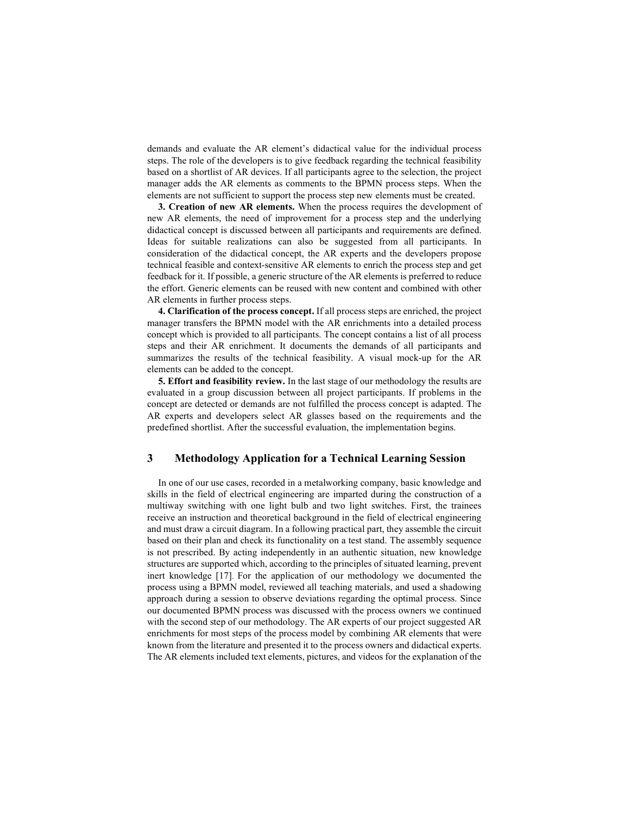demands and evaluate the AR element's didactical value for the individual process steps. The role of the developers is to give feedback regarding the technical feasibility based on a shortlist of AR devices. If all participants agree to the selection, the project manager adds the AR elements as comments to the BPMN process steps. When the elements are not sufficient to support the process step new elements must be created.

3. Creation of new AR elements. When the process requires the development of new AR elements, the need of improvement for a process step and the underlying didactical concept is discussed between all participants and requirements are defined. Ideas for suitable realizations can also be suggested from all participants. In consideration of the didactical concept, the AR experts and the developers propose technical feasible and context-sensitive AR elements to enrich the process step and get feedback for it. If possible, a generic structure of the AR elements is preferred to reduce the effort. Generic elements can be reused with new content and combined with other AR elements in further process steps.

4. Clarification of the process concept. If all process steps are enriched, the project manager transfers the BPMN model with the AR enrichments into a detailed process concept which is provided to all participants. The concept contains a list of all process steps and their AR enrichment. It documents the demands of all participants and summarizes the results of the technical feasibility. A visual mock-up for the AR elements can be added to the concept.

5. Effort and feasibility review. In the last stage of our methodology the results are evaluated in a group discussion between all project participants. If problems in the concept are detected or demands are not fulfilled the process concept is adapted. The AR experts and developers select AR glasses based on the requirements and the predefined shortlist. After the successful evaluation, the implementation begins.

#### 3 Methodology Application for a Technical Learning Session

In one of our use cases, recorded in a metalworking company, basic knowledge and skills in the field of electrical engineering are imparted during the construction of a multiway switching with one light bulb and two light switches. First, the trainees receive an instruction and theoretical background in the field of electrical engineering and must draw a circuit diagram. In a following practical part, they assemble the circuit based on their plan and check its functionality on a test stand. The assembly sequence is not prescribed. By acting independently in an authentic situation, new knowledge structures are supported which, according to the principles of situated learning, prevent inert knowledge [17]. For the application of our methodology we documented the process using a BPMN model, reviewed all teaching materials, and used a shadowing approach during a session to observe deviations regarding the optimal process. Since our documented BPMN process was discussed with the process owners we continued with the second step of our methodology. The AR experts of our project suggested AR enrichments for most steps of the process model by combining AR elements that were known from the literature and presented it to the process owners and didactical experts. The AR elements included text elements, pictures, and videos for the explanation of the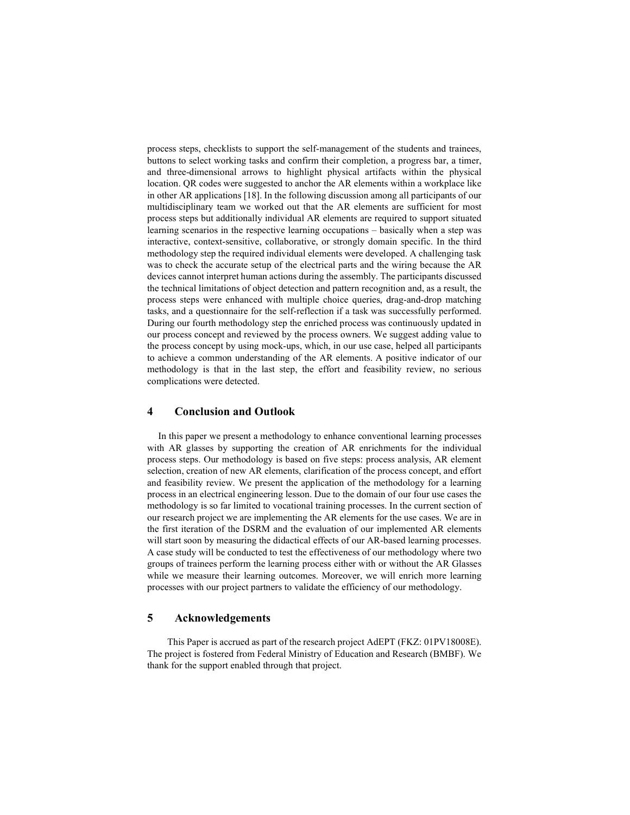process steps, checklists to support the self-management of the students and trainees, buttons to select working tasks and confirm their completion, a progress bar, a timer, and three-dimensional arrows to highlight physical artifacts within the physical location. QR codes were suggested to anchor the AR elements within a workplace like in other AR applications [18]. In the following discussion among all participants of our multidisciplinary team we worked out that the AR elements are sufficient for most process steps but additionally individual AR elements are required to support situated learning scenarios in the respective learning occupations – basically when a step was interactive, context-sensitive, collaborative, or strongly domain specific. In the third methodology step the required individual elements were developed. A challenging task was to check the accurate setup of the electrical parts and the wiring because the AR devices cannot interpret human actions during the assembly. The participants discussed the technical limitations of object detection and pattern recognition and, as a result, the process steps were enhanced with multiple choice queries, drag-and-drop matching tasks, and a questionnaire for the self-reflection if a task was successfully performed. During our fourth methodology step the enriched process was continuously updated in our process concept and reviewed by the process owners. We suggest adding value to the process concept by using mock-ups, which, in our use case, helped all participants to achieve a common understanding of the AR elements. A positive indicator of our methodology is that in the last step, the effort and feasibility review, no serious complications were detected.

#### 4 Conclusion and Outlook

In this paper we present a methodology to enhance conventional learning processes with AR glasses by supporting the creation of AR enrichments for the individual process steps. Our methodology is based on five steps: process analysis, AR element selection, creation of new AR elements, clarification of the process concept, and effort and feasibility review. We present the application of the methodology for a learning process in an electrical engineering lesson. Due to the domain of our four use cases the methodology is so far limited to vocational training processes. In the current section of our research project we are implementing the AR elements for the use cases. We are in the first iteration of the DSRM and the evaluation of our implemented AR elements will start soon by measuring the didactical effects of our AR-based learning processes. A case study will be conducted to test the effectiveness of our methodology where two groups of trainees perform the learning process either with or without the AR Glasses while we measure their learning outcomes. Moreover, we will enrich more learning processes with our project partners to validate the efficiency of our methodology.

#### 5 Acknowledgements

This Paper is accrued as part of the research project AdEPT (FKZ: 01PV18008E). The project is fostered from Federal Ministry of Education and Research (BMBF). We thank for the support enabled through that project.